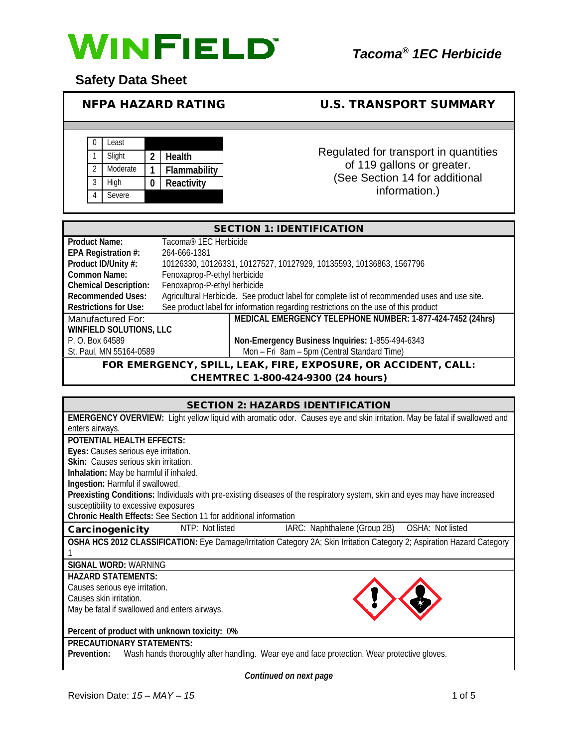

# **Safety Data Sheet**

# NFPA HAZARD RATING U.S. TRANSPORT SUMMARY

|  | Least    |              |                                       |
|--|----------|--------------|---------------------------------------|
|  | Slight   | Health       | Regulated for transport in quantities |
|  | Moderate | Flammability | of 119 gallons or greater.            |
|  | High     | Reactivity   | (See Section 14 for additional        |
|  | Severe   |              | information.)                         |

|                                | <b>SECTION 1: IDENTIFICATION</b>                                                              |
|--------------------------------|-----------------------------------------------------------------------------------------------|
| Product Name:                  | Tacoma <sup>®</sup> 1EC Herbicide                                                             |
| EPA Registration #:            | 264-666-1381                                                                                  |
| Product ID/Unity #:            | 10126330, 10126331, 10127527, 10127929, 10135593, 10136863, 1567796                           |
| Common Name:                   | Fenoxaprop-P-ethyl herbicide                                                                  |
| <b>Chemical Description:</b>   | Fenoxaprop-P-ethyl herbicide                                                                  |
| <b>Recommended Uses:</b>       | Agricultural Herbicide. See product label for complete list of recommended uses and use site. |
| <b>Restrictions for Use:</b>   | See product label for information regarding restrictions on the use of this product           |
| Manufactured For:              | MEDICAL EMERGENCY TELEPHONE NUMBER: 1-877-424-7452 (24hrs)                                    |
| <b>WINFIELD SOLUTIONS, LLC</b> |                                                                                               |
| P. O. Box 64589                | Non-Emergency Business Inquiries: 1-855-494-6343                                              |
| St. Paul, MN 55164-0589        | Mon - Fri 8am - 5pm (Central Standard Time)                                                   |
|                                | FOR EMERGENCY, SPILL, LEAK, FIRE, EXPOSURE, OR ACCIDENT, CALL:                                |

CHEMTREC 1-800-424-9300 (24 hours)

| <b>SECTION 2: HAZARDS IDENTIFICATION</b>                                                                                         |
|----------------------------------------------------------------------------------------------------------------------------------|
| <b>EMERGENCY OVERVIEW:</b> Light yellow liquid with aromatic odor. Causes eye and skin irritation. May be fatal if swallowed and |
| enters airways.                                                                                                                  |
| POTENTIAL HEALTH EFFECTS:                                                                                                        |
| Eyes: Causes serious eye irritation.                                                                                             |
| Skin: Causes serious skin irritation.                                                                                            |
| Inhalation: May be harmful if inhaled.                                                                                           |
| Ingestion: Harmful if swallowed.                                                                                                 |
| Preexisting Conditions: Individuals with pre-existing diseases of the respiratory system, skin and eyes may have increased       |
| susceptibility to excessive exposures                                                                                            |
| Chronic Health Effects: See Section 11 for additional information                                                                |
| IARC: Naphthalene (Group 2B)  OSHA: Not listed<br>NTP: Not listed<br>Carcinogenicity                                             |
| OSHA HCS 2012 CLASSIFICATION: Eye Damage/Irritation Category 2A; Skin Irritation Category 2; Aspiration Hazard Category          |
|                                                                                                                                  |
| SIGNAL WORD: WARNING                                                                                                             |
| <b>HAZARD STATEMENTS:</b>                                                                                                        |
| Causes serious eye irritation.                                                                                                   |
| Causes skin irritation.                                                                                                          |
| May be fatal if swallowed and enters airways.                                                                                    |
|                                                                                                                                  |
| Percent of product with unknown toxicity: 0%                                                                                     |
| <b>PRECAUTIONARY STATEMENTS:</b>                                                                                                 |
| Wash hands thoroughly after handling. Wear eye and face protection. Wear protective gloves.<br>Prevention:                       |
|                                                                                                                                  |

*Continued on next page*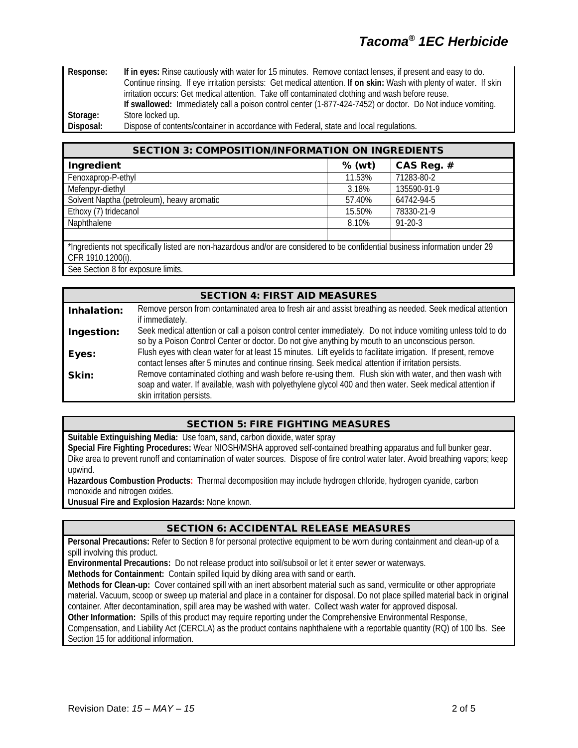# *Tacoma® 1EC Herbicide*

**Response: If in eyes:** Rinse cautiously with water for 15 minutes. Remove contact lenses, if present and easy to do. Continue rinsing. If eye irritation persists: Get medical attention. **If on skin:** Wash with plenty of water. If skin irritation occurs: Get medical attention. Take off contaminated clothing and wash before reuse. **If swallowed:** Immediately call a poison control center (1-877-424-7452) or doctor. Do Not induce vomiting. **Storage:** Store locked up.

**Disposal:** Dispose of contents/container in accordance with Federal, state and local regulations.

| <b>SECTION 3: COMPOSITION/INFORMATION ON INGREDIENTS</b>                                                    |          |               |
|-------------------------------------------------------------------------------------------------------------|----------|---------------|
| Ingredient                                                                                                  | $%$ (wt) | CAS Reg. #    |
| Fenoxaprop-P-ethyl                                                                                          | 11.53%   | 71283-80-2    |
| Mefenpyr-diethyl                                                                                            | 3.18%    | 135590-91-9   |
| Solvent Naptha (petroleum), heavy aromatic                                                                  | 57.40%   | 64742-94-5    |
| Ethoxy (7) tridecanol                                                                                       | 15.50%   | 78330-21-9    |
| Naphthalene                                                                                                 | 8.10%    | $91 - 20 - 3$ |
|                                                                                                             |          |               |
| 10 particular to the control leither than the constraint of the control of the control visings information. |          |               |

\*Ingredients not specifically listed are non-hazardous and/or are considered to be confidential business information under 29 CFR 1910.1200(i).

See Section 8 for exposure limits.

|             | <b>SECTION 4: FIRST AID MEASURES</b>                                                                                                                                                                                                            |
|-------------|-------------------------------------------------------------------------------------------------------------------------------------------------------------------------------------------------------------------------------------------------|
| Inhalation: | Remove person from contaminated area to fresh air and assist breathing as needed. Seek medical attention<br>if immediately.                                                                                                                     |
| Ingestion:  | Seek medical attention or call a poison control center immediately. Do not induce vomiting unless told to do<br>so by a Poison Control Center or doctor. Do not give anything by mouth to an unconscious person.                                |
| Eyes:       | Flush eyes with clean water for at least 15 minutes. Lift eyelids to facilitate irrigation. If present, remove<br>contact lenses after 5 minutes and continue rinsing. Seek medical attention if irritation persists.                           |
| Skin:       | Remove contaminated clothing and wash before re-using them. Flush skin with water, and then wash with<br>soap and water. If available, wash with polyethylene glycol 400 and then water. Seek medical attention if<br>skin irritation persists. |

## SECTION 5: FIRE FIGHTING MEASURES

**Suitable Extinguishing Media:** Use foam, sand, carbon dioxide, water spray **Special Fire Fighting Procedures:** Wear NIOSH/MSHA approved self-contained breathing apparatus and full bunker gear. Dike area to prevent runoff and contamination of water sources. Dispose of fire control water later. Avoid breathing vapors; keep upwind.

**Hazardous Combustion Products:** Thermal decomposition may include hydrogen chloride, hydrogen cyanide, carbon monoxide and nitrogen oxides.

**Unusual Fire and Explosion Hazards:** None known.

#### SECTION 6: ACCIDENTAL RELEASE MEASURES

**Personal Precautions:** Refer to Section 8 for personal protective equipment to be worn during containment and clean-up of a spill involving this product.

**Environmental Precautions:** Do not release product into soil/subsoil or let it enter sewer or waterways.

**Methods for Containment:** Contain spilled liquid by diking area with sand or earth.

**Methods for Clean-up:** Cover contained spill with an inert absorbent material such as sand, vermiculite or other appropriate material. Vacuum, scoop or sweep up material and place in a container for disposal. Do not place spilled material back in original container. After decontamination, spill area may be washed with water. Collect wash water for approved disposal.

**Other Information:** Spills of this product may require reporting under the Comprehensive Environmental Response,

Compensation, and Liability Act (CERCLA) as the product contains naphthalene with a reportable quantity (RQ) of 100 lbs. See Section 15 for additional information.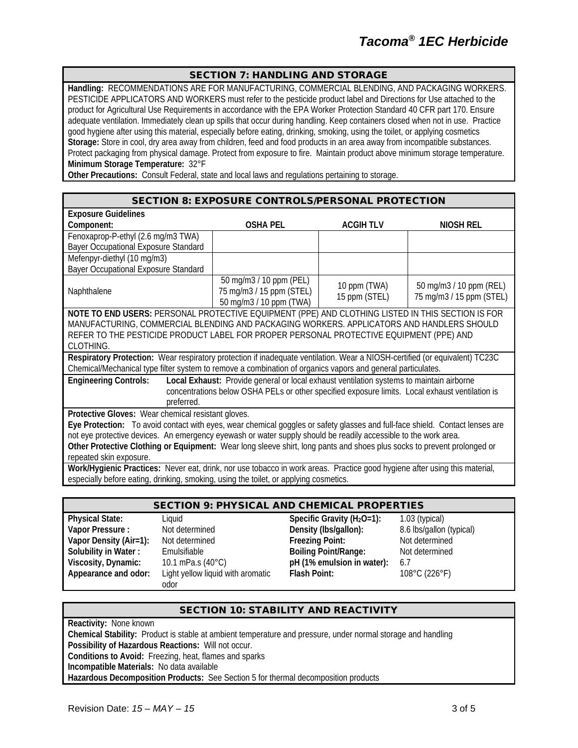#### SECTION 7: HANDLING AND STORAGE

**Handling:** RECOMMENDATIONS ARE FOR MANUFACTURING, COMMERCIAL BLENDING, AND PACKAGING WORKERS. PESTICIDE APPLICATORS AND WORKERS must refer to the pesticide product label and Directions for Use attached to the product for Agricultural Use Requirements in accordance with the EPA Worker Protection Standard 40 CFR part 170. Ensure adequate ventilation. Immediately clean up spills that occur during handling. Keep containers closed when not in use. Practice good hygiene after using this material, especially before eating, drinking, smoking, using the toilet, or applying cosmetics **Storage:** Store in cool, dry area away from children, feed and food products in an area away from incompatible substances. Protect packaging from physical damage. Protect from exposure to fire. Maintain product above minimum storage temperature. **Minimum Storage Temperature:** 32°F

**Other Precautions:** Consult Federal, state and local laws and regulations pertaining to storage.

#### SECTION 8: EXPOSURE CONTROLS/PERSONAL PROTECTION

| <b>Exposure Guidelines</b>                                                                                                   |                                                                                                 |                 |                          |
|------------------------------------------------------------------------------------------------------------------------------|-------------------------------------------------------------------------------------------------|-----------------|--------------------------|
| Component:                                                                                                                   | <b>OSHA PEL</b>                                                                                 | <b>ACGIHTLV</b> | NIOSH REL                |
| Fenoxaprop-P-ethyl (2.6 mg/m3 TWA)                                                                                           |                                                                                                 |                 |                          |
| Bayer Occupational Exposure Standard                                                                                         |                                                                                                 |                 |                          |
| Mefenpyr-diethyl (10 mg/m3)                                                                                                  |                                                                                                 |                 |                          |
| Bayer Occupational Exposure Standard                                                                                         |                                                                                                 |                 |                          |
|                                                                                                                              | 50 mg/m3 / 10 ppm (PEL)                                                                         | 10 ppm (TWA)    | 50 mg/m3 / 10 ppm (REL)  |
| Naphthalene                                                                                                                  | 75 mg/m3 / 15 ppm (STEL)<br>50 mg/m3 / 10 ppm (TWA)                                             | 15 ppm (STEL)   | 75 mg/m3 / 15 ppm (STEL) |
| NOTE TO END USERS: PERSONAL PROTECTIVE EQUIPMENT (PPE) AND CLOTHING LISTED IN THIS SECTION IS FOR                            |                                                                                                 |                 |                          |
| MANUFACTURING, COMMERCIAL BLENDING AND PACKAGING WORKERS. APPLICATORS AND HANDLERS SHOULD                                    |                                                                                                 |                 |                          |
| REFER TO THE PESTICIDE PRODUCT LABEL FOR PROPER PERSONAL PROTECTIVE EQUIPMENT (PPE) AND                                      |                                                                                                 |                 |                          |
| CLOTHING.                                                                                                                    |                                                                                                 |                 |                          |
| Respiratory Protection: Wear respiratory protection if inadequate ventilation. Wear a NIOSH-certified (or equivalent) TC23C  |                                                                                                 |                 |                          |
| Chemical/Mechanical type filter system to remove a combination of organics vapors and general particulates.                  |                                                                                                 |                 |                          |
| <b>Engineering Controls:</b>                                                                                                 | Local Exhaust: Provide general or local exhaust ventilation systems to maintain airborne        |                 |                          |
|                                                                                                                              | concentrations below OSHA PELs or other specified exposure limits. Local exhaust ventilation is |                 |                          |
| preferred.                                                                                                                   |                                                                                                 |                 |                          |
| Protective Gloves: Wear chemical resistant gloves.                                                                           |                                                                                                 |                 |                          |
| Eye Protection: To avoid contact with eyes, wear chemical goggles or safety glasses and full-face shield. Contact lenses are |                                                                                                 |                 |                          |
| not eye protective devices. An emergency eyewash or water supply should be readily accessible to the work area.              |                                                                                                 |                 |                          |
| Other Protective Clothing or Equipment: Wear long sleeve shirt, long pants and shoes plus socks to prevent prolonged or      |                                                                                                 |                 |                          |
| repeated skin exposure.                                                                                                      |                                                                                                 |                 |                          |
| Work/Hygienic Practices: Never eat, drink, nor use tobacco in work areas. Practice good hygiene after using this material,   |                                                                                                 |                 |                          |
| especially before eating, drinking, smoking, using the toilet, or applying cosmetics.                                        |                                                                                                 |                 |                          |
|                                                                                                                              |                                                                                                 |                 |                          |

### SECTION 9: PHYSICAL AND CHEMICAL PROPERTIES

**Vapor Density (Air=1):** Not determined **Appearance and odor:** Light yellow liquid with aromatic odor

**Physical State:** Liquid Liquid **Specific Gravity (H<sub>2</sub>O=1):** 1.03 (typical) 1.03 (typical) **Vapor Pressure**: Not determined **Specific Gravity (Ibs/qallon):** 8.6 lbs/qallon **Value : Value 10 Density (lbs/gallon):** 8.6 lbs/gallon (typical)<br> **Preezing Point:** Not determined **Solubility in Water :** Emulsifiable **Boiling Point/Range:** Not determined **Viscosity, Dynamic:** 10.1 mPa.s (40°C) **pH** (1% emulsion in water): 6.7 **Viscosity, Dynamic:** 10.1 mPa.s (40°C) **pH (1% emulsion in water):** 6.7 **Flash Point:** 108°C (226°F)

#### SECTION 10: STABILITY AND REACTIVITY

**Reactivity:** None known **Chemical Stability:** Product is stable at ambient temperature and pressure, under normal storage and handling **Possibility of Hazardous Reactions:** Will not occur. **Conditions to Avoid:** Freezing, heat, flames and sparks **Incompatible Materials:** No data available **Hazardous Decomposition Products:** See Section 5 for thermal decomposition products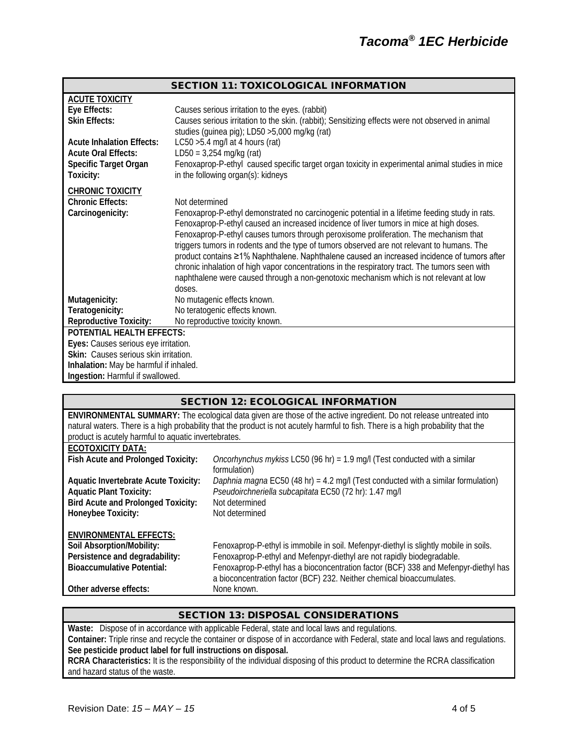|                                        | <b>SECTION 11: TOXICOLOGICAL INFORMATION</b>                                                                                                                                              |
|----------------------------------------|-------------------------------------------------------------------------------------------------------------------------------------------------------------------------------------------|
| <b>ACUTE TOXICITY</b>                  |                                                                                                                                                                                           |
| Eye Effects:                           | Causes serious irritation to the eyes. (rabbit)                                                                                                                                           |
| <b>Skin Effects:</b>                   | Causes serious irritation to the skin. (rabbit); Sensitizing effects were not observed in animal<br>studies (guinea pig); LD50 >5,000 mg/kg (rat)                                         |
| <b>Acute Inhalation Effects:</b>       | LC50 $>5.4$ mg/l at 4 hours (rat)                                                                                                                                                         |
| <b>Acute Oral Effects:</b>             | $LD50 = 3,254$ mg/kg (rat)                                                                                                                                                                |
| Specific Target Organ<br>Toxicity:     | Fenoxaprop-P-ethyl caused specific target organ toxicity in experimental animal studies in mice<br>in the following organ(s): kidneys                                                     |
|                                        |                                                                                                                                                                                           |
| <b>CHRONIC TOXICITY</b>                |                                                                                                                                                                                           |
| <b>Chronic Effects:</b>                | Not determined                                                                                                                                                                            |
| Carcinogenicity:                       | Fenoxaprop-P-ethyl demonstrated no carcinogenic potential in a lifetime feeding study in rats.<br>Fenoxaprop-P-ethyl caused an increased incidence of liver tumors in mice at high doses. |
|                                        | Fenoxaprop-P-ethyl causes tumors through peroxisome proliferation. The mechanism that                                                                                                     |
|                                        | triggers tumors in rodents and the type of tumors observed are not relevant to humans. The                                                                                                |
|                                        | product contains ≥1% Naphthalene. Naphthalene caused an increased incidence of tumors after                                                                                               |
|                                        | chronic inhalation of high vapor concentrations in the respiratory tract. The tumors seen with                                                                                            |
|                                        | naphthalene were caused through a non-genotoxic mechanism which is not relevant at low                                                                                                    |
|                                        | doses.                                                                                                                                                                                    |
| Mutagenicity:<br>Teratogenicity:       | No mutagenic effects known.<br>No teratogenic effects known.                                                                                                                              |
| <b>Reproductive Toxicity:</b>          | No reproductive toxicity known.                                                                                                                                                           |
| POTENTIAL HEALTH EFFECTS:              |                                                                                                                                                                                           |
| Eyes: Causes serious eye irritation.   |                                                                                                                                                                                           |
| Skin: Causes serious skin irritation.  |                                                                                                                                                                                           |
| Inhalation: May be harmful if inhaled. |                                                                                                                                                                                           |
| Ingestion: Harmful if swallowed.       |                                                                                                                                                                                           |

| <b>SECTION 12: ECOLOGICAL INFORMATION</b> |  |
|-------------------------------------------|--|
|-------------------------------------------|--|

|                                                      | <b>ENVIRONMENTAL SUMMARY:</b> The ecological data given are those of the active ingredient. Do not release untreated into         |
|------------------------------------------------------|-----------------------------------------------------------------------------------------------------------------------------------|
|                                                      | natural waters. There is a high probability that the product is not acutely harmful to fish. There is a high probability that the |
| product is acutely harmful to aquatic invertebrates. |                                                                                                                                   |
| <b>ECOTOXICITY DATA:</b>                             |                                                                                                                                   |
| Fish Acute and Prolonged Toxicity:                   | Oncorhynchus mykiss LC50 (96 hr) = $1.9$ mg/l (Test conducted with a similar                                                      |
|                                                      | formulation)                                                                                                                      |
| <b>Aquatic Invertebrate Acute Toxicity:</b>          | Daphnia magna EC50 (48 hr) = 4.2 mg/l (Test conducted with a similar formulation)                                                 |
| <b>Aquatic Plant Toxicity:</b>                       | Pseudoirchneriella subcapitata EC50 (72 hr): 1.47 mg/l                                                                            |
| <b>Bird Acute and Prolonged Toxicity:</b>            | Not determined                                                                                                                    |
| Honeybee Toxicity:                                   | Not determined                                                                                                                    |
|                                                      |                                                                                                                                   |
| <b>ENVIRONMENTAL EFFECTS:</b>                        |                                                                                                                                   |
| Soil Absorption/Mobility:                            | Fenoxaprop-P-ethyl is immobile in soil. Mefenpyr-diethyl is slightly mobile in soils.                                             |
| Persistence and degradability:                       | Fenoxaprop-P-ethyl and Mefenpyr-diethyl are not rapidly biodegradable.                                                            |
| <b>Bioaccumulative Potential:</b>                    | Fenoxaprop-P-ethyl has a bioconcentration factor (BCF) 338 and Mefenpyr-diethyl has                                               |
|                                                      | a bioconcentration factor (BCF) 232. Neither chemical bioaccumulates.                                                             |
| Other adverse effects:                               | None known.                                                                                                                       |

# SECTION 13: DISPOSAL CONSIDERATIONS

**Waste:** Dispose of in accordance with applicable Federal, state and local laws and regulations. **Container:** Triple rinse and recycle the container or dispose of in accordance with Federal, state and local laws and regulations. **See pesticide product label for full instructions on disposal. RCRA Characteristics:** It is the responsibility of the individual disposing of this product to determine the RCRA classification and hazard status of the waste.